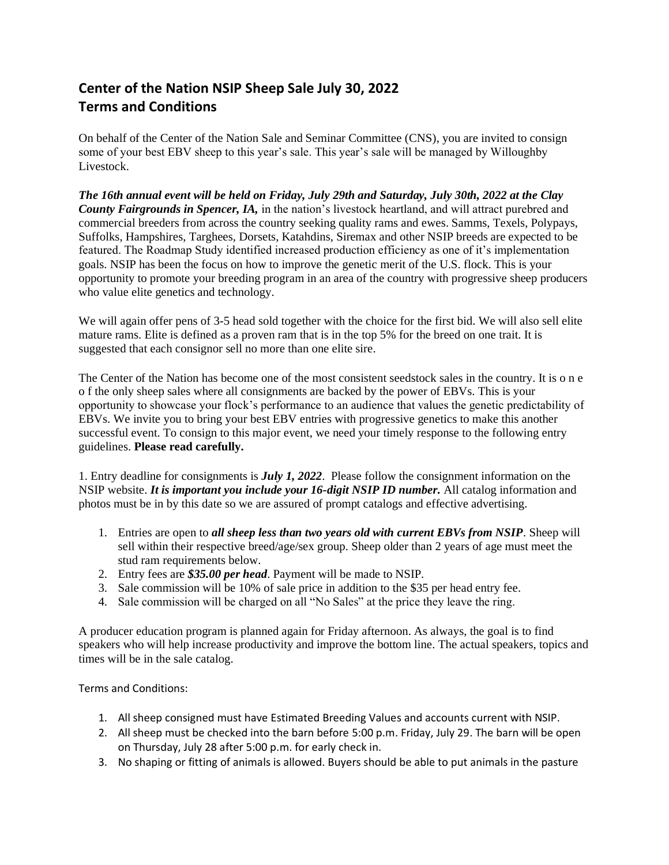## **Center of the Nation NSIP Sheep Sale July 30, 2022 Terms and Conditions**

On behalf of the Center of the Nation Sale and Seminar Committee (CNS), you are invited to consign some of your best EBV sheep to this year's sale. This year's sale will be managed by Willoughby Livestock.

*The 16th annual event will be held on Friday, July 29th and Saturday, July 30th, 2022 at the Clay County Fairgrounds in Spencer, IA,* in the nation's livestock heartland, and will attract purebred and commercial breeders from across the country seeking quality rams and ewes. Samms, Texels, Polypays, Suffolks, Hampshires, Targhees, Dorsets, Katahdins, Siremax and other NSIP breeds are expected to be featured. The Roadmap Study identified increased production efficiency as one of it's implementation goals. NSIP has been the focus on how to improve the genetic merit of the U.S. flock. This is your opportunity to promote your breeding program in an area of the country with progressive sheep producers who value elite genetics and technology.

We will again offer pens of 3-5 head sold together with the choice for the first bid. We will also sell elite mature rams. Elite is defined as a proven ram that is in the top 5% for the breed on one trait. It is suggested that each consignor sell no more than one elite sire.

The Center of the Nation has become one of the most consistent seedstock sales in the country. It is o n e o f the only sheep sales where all consignments are backed by the power of EBVs. This is your opportunity to showcase your flock's performance to an audience that values the genetic predictability of EBVs. We invite you to bring your best EBV entries with progressive genetics to make this another successful event. To consign to this major event, we need your timely response to the following entry guidelines. **Please read carefully.** 

1. Entry deadline for consignments is *July 1, 2022*. Please follow the consignment information on the NSIP website. *It is important you include your 16-digit NSIP ID number.* All catalog information and photos must be in by this date so we are assured of prompt catalogs and effective advertising.

- 1. Entries are open to *all sheep less than two years old with current EBVs from NSIP*. Sheep will sell within their respective breed/age/sex group. Sheep older than 2 years of age must meet the stud ram requirements below.
- 2. Entry fees are *\$35.00 per head*. Payment will be made to NSIP.
- 3. Sale commission will be 10% of sale price in addition to the \$35 per head entry fee.
- 4. Sale commission will be charged on all "No Sales" at the price they leave the ring.

A producer education program is planned again for Friday afternoon. As always, the goal is to find speakers who will help increase productivity and improve the bottom line. The actual speakers, topics and times will be in the sale catalog.

Terms and Conditions:

- 1. All sheep consigned must have Estimated Breeding Values and accounts current with NSIP.
- 2. All sheep must be checked into the barn before 5:00 p.m. Friday, July 29. The barn will be open on Thursday, July 28 after 5:00 p.m. for early check in.
- 3. No shaping or fitting of animals is allowed. Buyers should be able to put animals in the pasture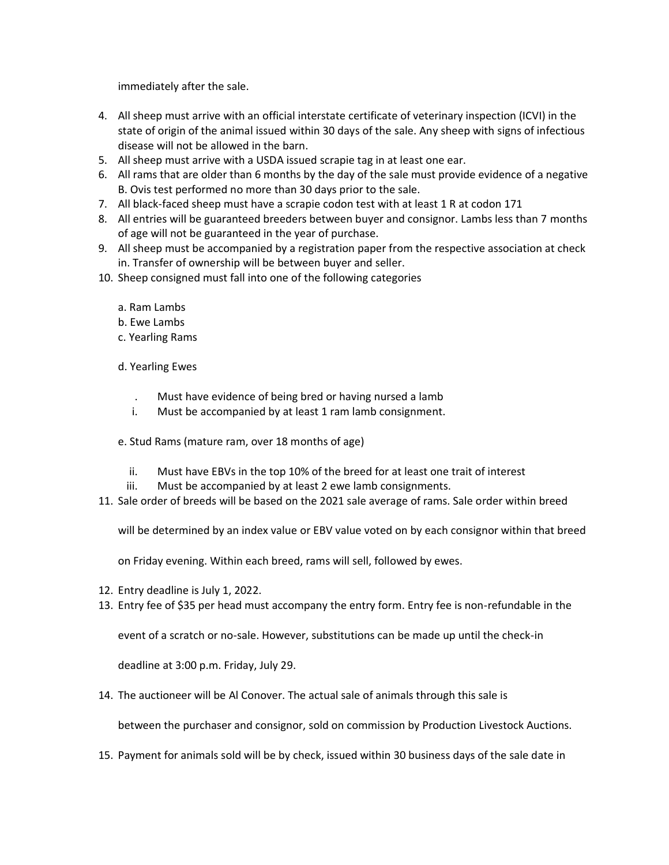immediately after the sale.

- 4. All sheep must arrive with an official interstate certificate of veterinary inspection (ICVI) in the state of origin of the animal issued within 30 days of the sale. Any sheep with signs of infectious disease will not be allowed in the barn.
- 5. All sheep must arrive with a USDA issued scrapie tag in at least one ear.
- 6. All rams that are older than 6 months by the day of the sale must provide evidence of a negative B. Ovis test performed no more than 30 days prior to the sale.
- 7. All black-faced sheep must have a scrapie codon test with at least 1 R at codon 171
- 8. All entries will be guaranteed breeders between buyer and consignor. Lambs less than 7 months of age will not be guaranteed in the year of purchase.
- 9. All sheep must be accompanied by a registration paper from the respective association at check in. Transfer of ownership will be between buyer and seller.
- 10. Sheep consigned must fall into one of the following categories
	- a. Ram Lambs
	- b. Ewe Lambs
	- c. Yearling Rams
	- d. Yearling Ewes
		- . Must have evidence of being bred or having nursed a lamb
		- i. Must be accompanied by at least 1 ram lamb consignment.
	- e. Stud Rams (mature ram, over 18 months of age)
		- ii. Must have EBVs in the top 10% of the breed for at least one trait of interest
	- iii. Must be accompanied by at least 2 ewe lamb consignments.
- 11. Sale order of breeds will be based on the 2021 sale average of rams. Sale order within breed

will be determined by an index value or EBV value voted on by each consignor within that breed

on Friday evening. Within each breed, rams will sell, followed by ewes.

- 12. Entry deadline is July 1, 2022.
- 13. Entry fee of \$35 per head must accompany the entry form. Entry fee is non-refundable in the

event of a scratch or no-sale. However, substitutions can be made up until the check-in

deadline at 3:00 p.m. Friday, July 29.

14. The auctioneer will be Al Conover. The actual sale of animals through this sale is

between the purchaser and consignor, sold on commission by Production Livestock Auctions.

15. Payment for animals sold will be by check, issued within 30 business days of the sale date in